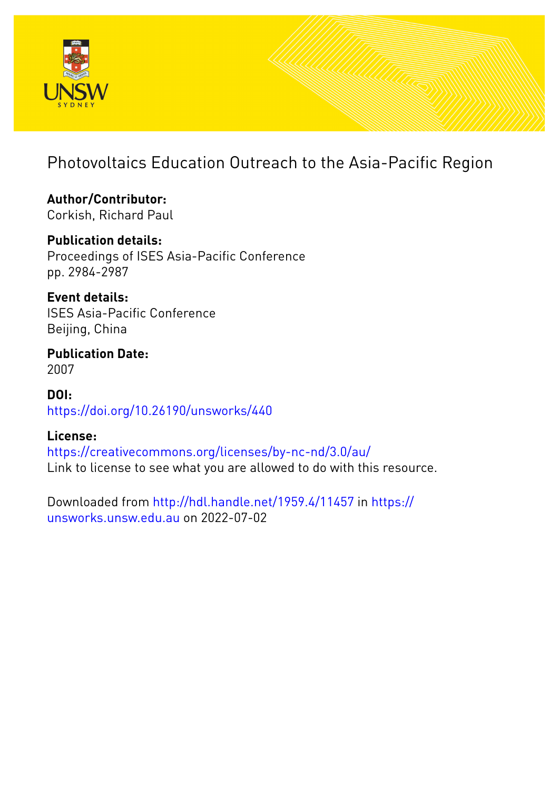

# Photovoltaics Education Outreach to the Asia-Pacific Region

**Author/Contributor:** Corkish, Richard Paul

## **Publication details:**

Proceedings of ISES Asia-Pacific Conference pp. 2984-2987

**Event details:** ISES Asia-Pacific Conference Beijing, China

**Publication Date:** 2007

**DOI:** [https://doi.org/10.26190/unsworks/440](http://dx.doi.org/https://doi.org/10.26190/unsworks/440)

### **License:**

<https://creativecommons.org/licenses/by-nc-nd/3.0/au/> Link to license to see what you are allowed to do with this resource.

Downloaded from <http://hdl.handle.net/1959.4/11457> in [https://](https://unsworks.unsw.edu.au) [unsworks.unsw.edu.au](https://unsworks.unsw.edu.au) on 2022-07-02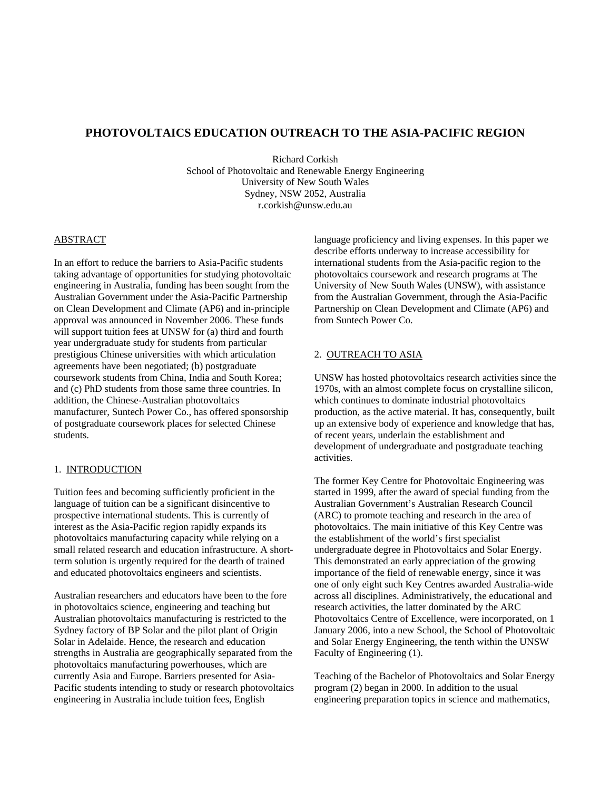#### **PHOTOVOLTAICS EDUCATION OUTREACH TO THE ASIA-PACIFIC REGION**

Richard Corkish School of Photovoltaic and Renewable Energy Engineering University of New South Wales Sydney, NSW 2052, Australia r.corkish@unsw.edu.au

#### ABSTRACT

In an effort to reduce the barriers to Asia-Pacific students taking advantage of opportunities for studying photovoltaic engineering in Australia, funding has been sought from the Australian Government under the Asia-Pacific Partnership on Clean Development and Climate (AP6) and in-principle approval was announced in November 2006. These funds will support tuition fees at UNSW for (a) third and fourth year undergraduate study for students from particular prestigious Chinese universities with which articulation agreements have been negotiated; (b) postgraduate coursework students from China, India and South Korea; and (c) PhD students from those same three countries. In addition, the Chinese-Australian photovoltaics manufacturer, Suntech Power Co., has offered sponsorship of postgraduate coursework places for selected Chinese students.

#### 1. INTRODUCTION

Tuition fees and becoming sufficiently proficient in the language of tuition can be a significant disincentive to prospective international students. This is currently of interest as the Asia-Pacific region rapidly expands its photovoltaics manufacturing capacity while relying on a small related research and education infrastructure. A shortterm solution is urgently required for the dearth of trained and educated photovoltaics engineers and scientists.

Australian researchers and educators have been to the fore in photovoltaics science, engineering and teaching but Australian photovoltaics manufacturing is restricted to the Sydney factory of BP Solar and the pilot plant of Origin Solar in Adelaide. Hence, the research and education strengths in Australia are geographically separated from the photovoltaics manufacturing powerhouses, which are currently Asia and Europe. Barriers presented for Asia-Pacific students intending to study or research photovoltaics engineering in Australia include tuition fees, English

language proficiency and living expenses. In this paper we describe efforts underway to increase accessibility for international students from the Asia-pacific region to the photovoltaics coursework and research programs at The University of New South Wales (UNSW), with assistance from the Australian Government, through the Asia-Pacific Partnership on Clean Development and Climate (AP6) and from Suntech Power Co.

#### 2. OUTREACH TO ASIA

UNSW has hosted photovoltaics research activities since the 1970s, with an almost complete focus on crystalline silicon, which continues to dominate industrial photovoltaics production, as the active material. It has, consequently, built up an extensive body of experience and knowledge that has, of recent years, underlain the establishment and development of undergraduate and postgraduate teaching activities.

The former Key Centre for Photovoltaic Engineering was started in 1999, after the award of special funding from the Australian Government's Australian Research Council (ARC) to promote teaching and research in the area of photovoltaics. The main initiative of this Key Centre was the establishment of the world's first specialist undergraduate degree in Photovoltaics and Solar Energy. This demonstrated an early appreciation of the growing importance of the field of renewable energy, since it was one of only eight such Key Centres awarded Australia-wide across all disciplines. Administratively, the educational and research activities, the latter dominated by the ARC Photovoltaics Centre of Excellence, were incorporated, on 1 January 2006, into a new School, the School of Photovoltaic and Solar Energy Engineering, the tenth within the UNSW Faculty of Engineering (1).

Teaching of the Bachelor of Photovoltaics and Solar Energy program (2) began in 2000. In addition to the usual engineering preparation topics in science and mathematics,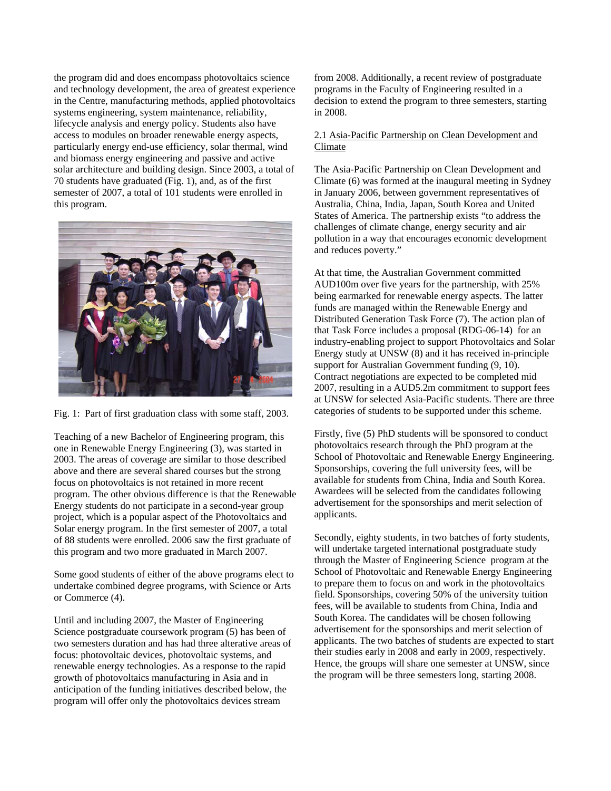the program did and does encompass photovoltaics science and technology development, the area of greatest experience in the Centre, manufacturing methods, applied photovoltaics systems engineering, system maintenance, reliability, lifecycle analysis and energy policy. Students also have access to modules on broader renewable energy aspects, particularly energy end-use efficiency, solar thermal, wind and biomass energy engineering and passive and active solar architecture and building design. Since 2003, a total of 70 students have graduated (Fig. 1), and, as of the first semester of 2007, a total of 101 students were enrolled in this program.



Fig. 1: Part of first graduation class with some staff, 2003.

Teaching of a new Bachelor of Engineering program, this one in Renewable Energy Engineering (3), was started in 2003. The areas of coverage are similar to those described above and there are several shared courses but the strong focus on photovoltaics is not retained in more recent program. The other obvious difference is that the Renewable Energy students do not participate in a second-year group project, which is a popular aspect of the Photovoltaics and Solar energy program. In the first semester of 2007, a total of 88 students were enrolled. 2006 saw the first graduate of this program and two more graduated in March 2007.

Some good students of either of the above programs elect to undertake combined degree programs, with Science or Arts or Commerce (4).

Until and including 2007, the Master of Engineering Science postgraduate coursework program (5) has been of two semesters duration and has had three alterative areas of focus: photovoltaic devices, photovoltaic systems, and renewable energy technologies. As a response to the rapid growth of photovoltaics manufacturing in Asia and in anticipation of the funding initiatives described below, the program will offer only the photovoltaics devices stream

from 2008. Additionally, a recent review of postgraduate programs in the Faculty of Engineering resulted in a decision to extend the program to three semesters, starting in 2008.

#### 2.1 Asia-Pacific Partnership on Clean Development and Climate

The Asia-Pacific Partnership on Clean Development and Climate (6) was formed at the inaugural meeting in Sydney in January 2006, between government representatives of Australia, China, India, Japan, South Korea and United States of America. The partnership exists "to address the challenges of climate change, energy security and air pollution in a way that encourages economic development and reduces poverty."

At that time, the Australian Government committed AUD100m over five years for the partnership, with 25% being earmarked for renewable energy aspects. The latter funds are managed within the Renewable Energy and Distributed Generation Task Force (7). The action plan of that Task Force includes a proposal (RDG-06-14) for an industry-enabling project to support Photovoltaics and Solar Energy study at UNSW (8) and it has received in-principle support for Australian Government funding  $(9, 10)$ . Contract negotiations are expected to be completed mid 2007, resulting in a AUD5.2m commitment to support fees at UNSW for selected Asia-Pacific students. There are three categories of students to be supported under this scheme.

Firstly, five (5) PhD students will be sponsored to conduct photovoltaics research through the PhD program at the School of Photovoltaic and Renewable Energy Engineering. Sponsorships, covering the full university fees, will be available for students from China, India and South Korea. Awardees will be selected from the candidates following advertisement for the sponsorships and merit selection of applicants.

Secondly, eighty students, in two batches of forty students, will undertake targeted international postgraduate study through the Master of Engineering Science program at the School of Photovoltaic and Renewable Energy Engineering to prepare them to focus on and work in the photovoltaics field. Sponsorships, covering 50% of the university tuition fees, will be available to students from China, India and South Korea. The candidates will be chosen following advertisement for the sponsorships and merit selection of applicants. The two batches of students are expected to start their studies early in 2008 and early in 2009, respectively. Hence, the groups will share one semester at UNSW, since the program will be three semesters long, starting 2008.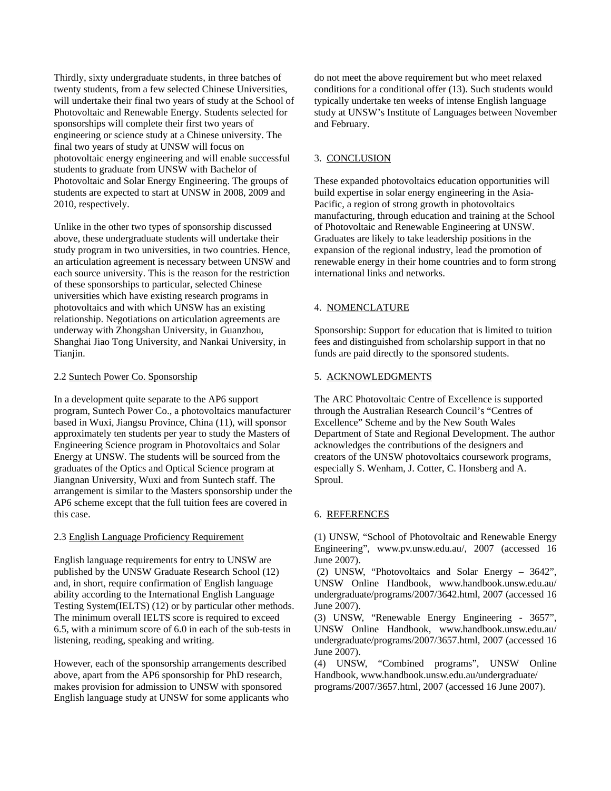Thirdly, sixty undergraduate students, in three batches of twenty students, from a few selected Chinese Universities, will undertake their final two years of study at the School of Photovoltaic and Renewable Energy. Students selected for sponsorships will complete their first two years of engineering or science study at a Chinese university. The final two years of study at UNSW will focus on photovoltaic energy engineering and will enable successful students to graduate from UNSW with Bachelor of Photovoltaic and Solar Energy Engineering. The groups of students are expected to start at UNSW in 2008, 2009 and 2010, respectively.

Unlike in the other two types of sponsorship discussed above, these undergraduate students will undertake their study program in two universities, in two countries. Hence, an articulation agreement is necessary between UNSW and each source university. This is the reason for the restriction of these sponsorships to particular, selected Chinese universities which have existing research programs in photovoltaics and with which UNSW has an existing relationship. Negotiations on articulation agreements are underway with Zhongshan University, in Guanzhou, Shanghai Jiao Tong University, and Nankai University, in Tianiin.

#### 2.2 Suntech Power Co. Sponsorship

In a development quite separate to the AP6 support program, Suntech Power Co., a photovoltaics manufacturer based in Wuxi, Jiangsu Province, China (11), will sponsor approximately ten students per year to study the Masters of Engineering Science program in Photovoltaics and Solar Energy at UNSW. The students will be sourced from the graduates of the Optics and Optical Science program at Jiangnan University, Wuxi and from Suntech staff. The arrangement is similar to the Masters sponsorship under the AP6 scheme except that the full tuition fees are covered in this case.

#### 2.3 English Language Proficiency Requirement

English language requirements for entry to UNSW are published by the UNSW Graduate Research School (12) and, in short, require confirmation of English language ability according to the International English Language Testing System(IELTS) (12) or by particular other methods. The minimum overall IELTS score is required to exceed 6.5, with a minimum score of 6.0 in each of the sub-tests in listening, reading, speaking and writing.

However, each of the sponsorship arrangements described above, apart from the AP6 sponsorship for PhD research, makes provision for admission to UNSW with sponsored English language study at UNSW for some applicants who do not meet the above requirement but who meet relaxed conditions for a conditional offer (13). Such students would typically undertake ten weeks of intense English language study at UNSW's Institute of Languages between November and February.

#### 3. CONCLUSION

These expanded photovoltaics education opportunities will build expertise in solar energy engineering in the Asia-Pacific, a region of strong growth in photovoltaics manufacturing, through education and training at the School of Photovoltaic and Renewable Engineering at UNSW. Graduates are likely to take leadership positions in the expansion of the regional industry, lead the promotion of renewable energy in their home countries and to form strong international links and networks.

#### 4. NOMENCLATURE

Sponsorship: Support for education that is limited to tuition fees and distinguished from scholarship support in that no funds are paid directly to the sponsored students.

#### 5. ACKNOWLEDGMENTS

The ARC Photovoltaic Centre of Excellence is supported through the Australian Research Council's "Centres of Excellence" Scheme and by the New South Wales Department of State and Regional Development. The author acknowledges the contributions of the designers and creators of the UNSW photovoltaics coursework programs, especially S. Wenham, J. Cotter, C. Honsberg and A. Sproul.

#### 6. REFERENCES

(1) UNSW, "School of Photovoltaic and Renewable Energy Engineering", www.pv.unsw.edu.au/, 2007 (accessed 16 June 2007).

 (2) UNSW, "Photovoltaics and Solar Energy – 3642", UNSW Online Handbook, www.handbook.unsw.edu.au/ undergraduate/programs/2007/3642.html, 2007 (accessed 16 June 2007).

(3) UNSW, "Renewable Energy Engineering - 3657", UNSW Online Handbook, www.handbook.unsw.edu.au/ undergraduate/programs/2007/3657.html, 2007 (accessed 16 June 2007).

(4) UNSW, "Combined programs", UNSW Online Handbook, www.handbook.unsw.edu.au/undergraduate/ programs/2007/3657.html, 2007 (accessed 16 June 2007).